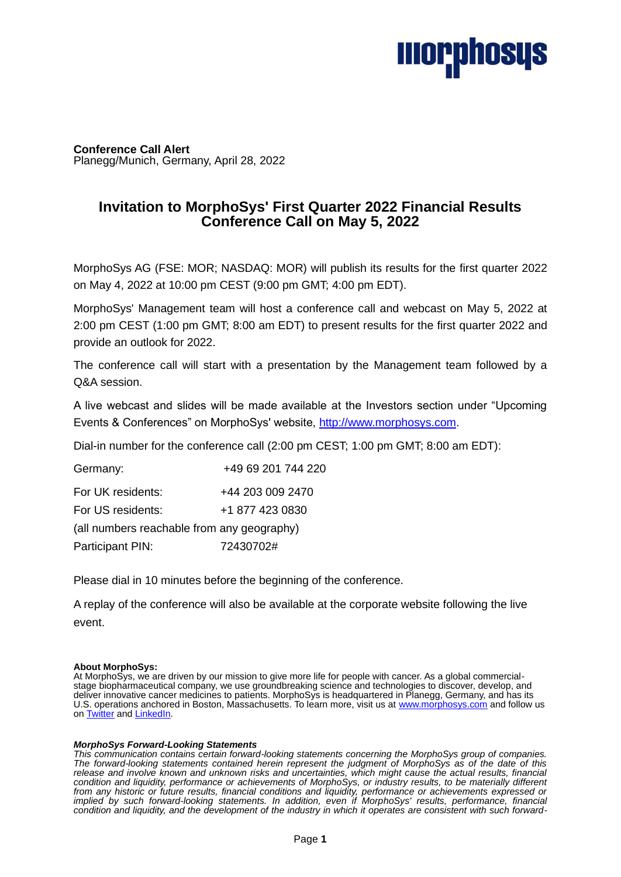# **Ilior,phosys**

**Conference Call Alert** Planegg/Munich, Germany, April 28, 2022

# **Invitation to MorphoSys' First Quarter 2022 Financial Results Conference Call on May 5, 2022**

MorphoSys AG (FSE: MOR; NASDAQ: MOR) will publish its results for the first quarter 2022 on May 4, 2022 at 10:00 pm CEST (9:00 pm GMT; 4:00 pm EDT).

MorphoSys' Management team will host a conference call and webcast on May 5, 2022 at 2:00 pm CEST (1:00 pm GMT; 8:00 am EDT) to present results for the first quarter 2022 and provide an outlook for 2022.

The conference call will start with a presentation by the Management team followed by a Q&A session.

A live webcast and slides will be made available at the Investors section under "Upcoming Events & Conferences" on MorphoSys' website, [http://www.morphosys.com.](http://www.morphosys.com/)

Dial-in number for the conference call (2:00 pm CEST; 1:00 pm GMT; 8:00 am EDT):

Germany: +49 69 201 744 220 For UK residents: +44 203 009 2470 For US residents: +1 877 423 0830

(all numbers reachable from any geography) Participant PIN: 72430702#

Please dial in 10 minutes before the beginning of the conference.

A replay of the conference will also be available at the corporate website following the live event.

# **About MorphoSys:**

At MorphoSys, we are driven by our mission to give more life for people with cancer. As a global commercialstage biopharmaceutical company, we use groundbreaking science and technologies to discover, develop, and deliver innovative cancer medicines to patients. MorphoSys is headquartered in Planegg, Germany, and has its U.S. operations anchored in Boston, Massachusetts. To learn more, visit us at [www.morphosys.com](http://www.morphosys.com/) and follow us on [Twitter](https://twitter.com/morphosys) an[d LinkedIn.](https://www.linkedin.com/company/morphosys/)

#### *MorphoSys Forward-Looking Statements*

*This communication contains certain forward-looking statements concerning the MorphoSys group of companies. The forward-looking statements contained herein represent the judgment of MorphoSys as of the date of this release and involve known and unknown risks and uncertainties, which might cause the actual results, financial condition and liquidity, performance or achievements of MorphoSys, or industry results, to be materially different from any historic or future results, financial conditions and liquidity, performance or achievements expressed or implied by such forward-looking statements. In addition, even if MorphoSys' results, performance, financial condition and liquidity, and the development of the industry in which it operates are consistent with such forward-*